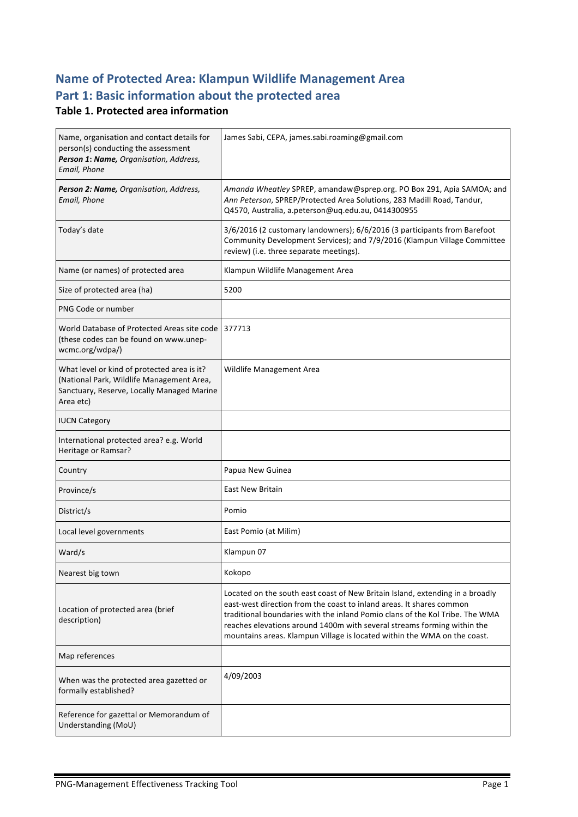# **Name of Protected Area: Klampun Wildlife Management Area** Part 1: Basic information about the protected area

### **Table 1. Protected area information**

| Name, organisation and contact details for<br>person(s) conducting the assessment<br>Person 1: Name, Organisation, Address,<br>Email, Phone         | James Sabi, CEPA, james.sabi.roaming@gmail.com                                                                                                                                                                                                                                                                                                                                               |
|-----------------------------------------------------------------------------------------------------------------------------------------------------|----------------------------------------------------------------------------------------------------------------------------------------------------------------------------------------------------------------------------------------------------------------------------------------------------------------------------------------------------------------------------------------------|
| Person 2: Name, Organisation, Address,<br>Email, Phone                                                                                              | Amanda Wheatley SPREP, amandaw@sprep.org. PO Box 291, Apia SAMOA; and<br>Ann Peterson, SPREP/Protected Area Solutions, 283 Madill Road, Tandur,<br>Q4570, Australia, a.peterson@uq.edu.au, 0414300955                                                                                                                                                                                        |
| Today's date                                                                                                                                        | 3/6/2016 (2 customary landowners); 6/6/2016 (3 participants from Barefoot<br>Community Development Services); and 7/9/2016 (Klampun Village Committee<br>review) (i.e. three separate meetings).                                                                                                                                                                                             |
| Name (or names) of protected area                                                                                                                   | Klampun Wildlife Management Area                                                                                                                                                                                                                                                                                                                                                             |
| Size of protected area (ha)                                                                                                                         | 5200                                                                                                                                                                                                                                                                                                                                                                                         |
| PNG Code or number                                                                                                                                  |                                                                                                                                                                                                                                                                                                                                                                                              |
| World Database of Protected Areas site code<br>(these codes can be found on www.unep-<br>wcmc.org/wdpa/)                                            | 377713                                                                                                                                                                                                                                                                                                                                                                                       |
| What level or kind of protected area is it?<br>(National Park, Wildlife Management Area,<br>Sanctuary, Reserve, Locally Managed Marine<br>Area etc) | Wildlife Management Area                                                                                                                                                                                                                                                                                                                                                                     |
| <b>IUCN Category</b>                                                                                                                                |                                                                                                                                                                                                                                                                                                                                                                                              |
| International protected area? e.g. World<br>Heritage or Ramsar?                                                                                     |                                                                                                                                                                                                                                                                                                                                                                                              |
| Country                                                                                                                                             | Papua New Guinea                                                                                                                                                                                                                                                                                                                                                                             |
| Province/s                                                                                                                                          | <b>East New Britain</b>                                                                                                                                                                                                                                                                                                                                                                      |
| District/s                                                                                                                                          | Pomio                                                                                                                                                                                                                                                                                                                                                                                        |
| Local level governments                                                                                                                             | East Pomio (at Milim)                                                                                                                                                                                                                                                                                                                                                                        |
| Ward/s                                                                                                                                              | Klampun 07                                                                                                                                                                                                                                                                                                                                                                                   |
| Nearest big town                                                                                                                                    | Kokopo                                                                                                                                                                                                                                                                                                                                                                                       |
| Location of protected area (brief<br>description)                                                                                                   | Located on the south east coast of New Britain Island, extending in a broadly<br>east-west direction from the coast to inland areas. It shares common<br>traditional boundaries with the inland Pomio clans of the Kol Tribe. The WMA<br>reaches elevations around 1400m with several streams forming within the<br>mountains areas. Klampun Village is located within the WMA on the coast. |
| Map references                                                                                                                                      |                                                                                                                                                                                                                                                                                                                                                                                              |
| When was the protected area gazetted or<br>formally established?                                                                                    | 4/09/2003                                                                                                                                                                                                                                                                                                                                                                                    |
| Reference for gazettal or Memorandum of<br>Understanding (MoU)                                                                                      |                                                                                                                                                                                                                                                                                                                                                                                              |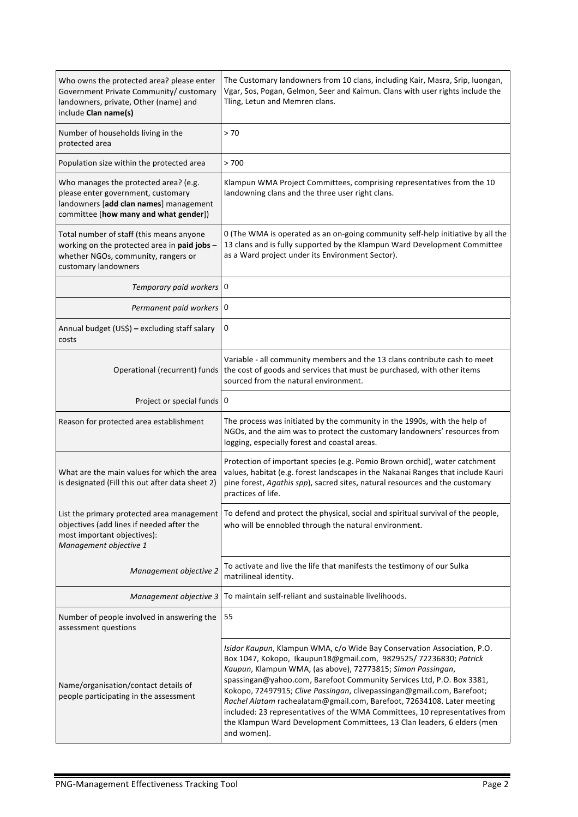| Who owns the protected area? please enter<br>Government Private Community/ customary<br>landowners, private, Other (name) and<br>include Clan name(s)          | The Customary landowners from 10 clans, including Kair, Masra, Srip, luongan,<br>Vgar, Sos, Pogan, Gelmon, Seer and Kaimun. Clans with user rights include the<br>Tling, Letun and Memren clans.                                                                                                                                                                                                                                                                                                                                                                                                                 |
|----------------------------------------------------------------------------------------------------------------------------------------------------------------|------------------------------------------------------------------------------------------------------------------------------------------------------------------------------------------------------------------------------------------------------------------------------------------------------------------------------------------------------------------------------------------------------------------------------------------------------------------------------------------------------------------------------------------------------------------------------------------------------------------|
| Number of households living in the<br>protected area                                                                                                           | > 70                                                                                                                                                                                                                                                                                                                                                                                                                                                                                                                                                                                                             |
| Population size within the protected area                                                                                                                      | >700                                                                                                                                                                                                                                                                                                                                                                                                                                                                                                                                                                                                             |
| Who manages the protected area? (e.g.<br>please enter government, customary<br>landowners [add clan names] management<br>committee [how many and what gender]) | Klampun WMA Project Committees, comprising representatives from the 10<br>landowning clans and the three user right clans.                                                                                                                                                                                                                                                                                                                                                                                                                                                                                       |
| Total number of staff (this means anyone<br>working on the protected area in paid jobs -<br>whether NGOs, community, rangers or<br>customary landowners        | 0 (The WMA is operated as an on-going community self-help initiative by all the<br>13 clans and is fully supported by the Klampun Ward Development Committee<br>as a Ward project under its Environment Sector).                                                                                                                                                                                                                                                                                                                                                                                                 |
| Temporary paid workers 0                                                                                                                                       |                                                                                                                                                                                                                                                                                                                                                                                                                                                                                                                                                                                                                  |
| Permanent paid workers   0                                                                                                                                     |                                                                                                                                                                                                                                                                                                                                                                                                                                                                                                                                                                                                                  |
| Annual budget (US\$) - excluding staff salary<br>costs                                                                                                         | 0                                                                                                                                                                                                                                                                                                                                                                                                                                                                                                                                                                                                                |
| Operational (recurrent) funds                                                                                                                                  | Variable - all community members and the 13 clans contribute cash to meet<br>the cost of goods and services that must be purchased, with other items<br>sourced from the natural environment.                                                                                                                                                                                                                                                                                                                                                                                                                    |
| Project or special funds   0                                                                                                                                   |                                                                                                                                                                                                                                                                                                                                                                                                                                                                                                                                                                                                                  |
| Reason for protected area establishment                                                                                                                        | The process was initiated by the community in the 1990s, with the help of<br>NGOs, and the aim was to protect the customary landowners' resources from<br>logging, especially forest and coastal areas.                                                                                                                                                                                                                                                                                                                                                                                                          |
| What are the main values for which the area<br>is designated (Fill this out after data sheet 2)                                                                | Protection of important species (e.g. Pomio Brown orchid), water catchment<br>values, habitat (e.g. forest landscapes in the Nakanai Ranges that include Kauri<br>pine forest, Agathis spp), sacred sites, natural resources and the customary<br>practices of life.                                                                                                                                                                                                                                                                                                                                             |
| List the primary protected area management<br>objectives (add lines if needed after the<br>most important objectives):<br>Management objective 1               | To defend and protect the physical, social and spiritual survival of the people,<br>who will be ennobled through the natural environment.                                                                                                                                                                                                                                                                                                                                                                                                                                                                        |
| Management objective 2                                                                                                                                         | To activate and live the life that manifests the testimony of our Sulka<br>matrilineal identity.                                                                                                                                                                                                                                                                                                                                                                                                                                                                                                                 |
| Management objective 3                                                                                                                                         | To maintain self-reliant and sustainable livelihoods.                                                                                                                                                                                                                                                                                                                                                                                                                                                                                                                                                            |
| Number of people involved in answering the<br>assessment questions                                                                                             | 55                                                                                                                                                                                                                                                                                                                                                                                                                                                                                                                                                                                                               |
| Name/organisation/contact details of<br>people participating in the assessment                                                                                 | Isidor Kaupun, Klampun WMA, c/o Wide Bay Conservation Association, P.O.<br>Box 1047, Kokopo, Ikaupun18@gmail.com, 9829525/72236830; Patrick<br>Kaupun, Klampun WMA, (as above), 72773815; Simon Passingan,<br>spassingan@yahoo.com, Barefoot Community Services Ltd, P.O. Box 3381,<br>Kokopo, 72497915; Clive Passingan, clivepassingan@gmail.com, Barefoot;<br>Rachel Alatam rachealatam@gmail.com, Barefoot, 72634108. Later meeting<br>included: 23 representatives of the WMA Committees, 10 representatives from<br>the Klampun Ward Development Committees, 13 Clan leaders, 6 elders (men<br>and women). |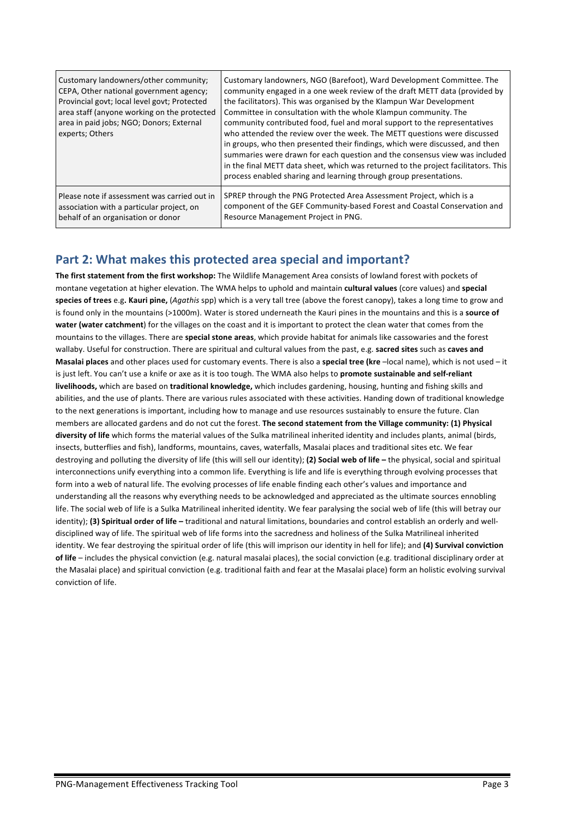| Customary landowners/other community;<br>CEPA, Other national government agency;<br>Provincial govt; local level govt; Protected<br>area staff (anyone working on the protected<br>area in paid jobs; NGO; Donors; External<br>experts; Others | Customary landowners, NGO (Barefoot), Ward Development Committee. The<br>community engaged in a one week review of the draft METT data (provided by<br>the facilitators). This was organised by the Klampun War Development<br>Committee in consultation with the whole Klampun community. The<br>community contributed food, fuel and moral support to the representatives<br>who attended the review over the week. The METT questions were discussed<br>in groups, who then presented their findings, which were discussed, and then<br>summaries were drawn for each question and the consensus view was included<br>in the final METT data sheet, which was returned to the project facilitators. This<br>process enabled sharing and learning through group presentations. |
|------------------------------------------------------------------------------------------------------------------------------------------------------------------------------------------------------------------------------------------------|----------------------------------------------------------------------------------------------------------------------------------------------------------------------------------------------------------------------------------------------------------------------------------------------------------------------------------------------------------------------------------------------------------------------------------------------------------------------------------------------------------------------------------------------------------------------------------------------------------------------------------------------------------------------------------------------------------------------------------------------------------------------------------|
| Please note if assessment was carried out in                                                                                                                                                                                                   | SPREP through the PNG Protected Area Assessment Project, which is a                                                                                                                                                                                                                                                                                                                                                                                                                                                                                                                                                                                                                                                                                                              |
| association with a particular project, on                                                                                                                                                                                                      | component of the GEF Community-based Forest and Coastal Conservation and                                                                                                                                                                                                                                                                                                                                                                                                                                                                                                                                                                                                                                                                                                         |
| behalf of an organisation or donor                                                                                                                                                                                                             | Resource Management Project in PNG.                                                                                                                                                                                                                                                                                                                                                                                                                                                                                                                                                                                                                                                                                                                                              |

## Part 2: What makes this protected area special and important?

The first statement from the first workshop: The Wildlife Management Area consists of lowland forest with pockets of montane vegetation at higher elevation. The WMA helps to uphold and maintain **cultural values** (core values) and **special** species of trees e.g. Kauri pine, (Agathis spp) which is a very tall tree (above the forest canopy), takes a long time to grow and is found only in the mountains (>1000m). Water is stored underneath the Kauri pines in the mountains and this is a source of water (water catchment) for the villages on the coast and it is important to protect the clean water that comes from the mountains to the villages. There are **special stone areas**, which provide habitat for animals like cassowaries and the forest wallaby. Useful for construction. There are spiritual and cultural values from the past, e.g. sacred sites such as caves and **Masalai places** and other places used for customary events. There is also a special tree (kre –local name), which is not used – it is just left. You can't use a knife or axe as it is too tough. The WMA also helps to promote sustainable and self-reliant livelihoods, which are based on traditional knowledge, which includes gardening, housing, hunting and fishing skills and abilities, and the use of plants. There are various rules associated with these activities. Handing down of traditional knowledge to the next generations is important, including how to manage and use resources sustainably to ensure the future. Clan members are allocated gardens and do not cut the forest. The second statement from the Village community: (1) Physical diversity of life which forms the material values of the Sulka matrilineal inherited identity and includes plants, animal (birds, insects, butterflies and fish), landforms, mountains, caves, waterfalls, Masalai places and traditional sites etc. We fear destroying and polluting the diversity of life (this will sell our identity); (2) Social web of life - the physical, social and spiritual interconnections unify everything into a common life. Everything is life and life is everything through evolving processes that form into a web of natural life. The evolving processes of life enable finding each other's values and importance and understanding all the reasons why everything needs to be acknowledged and appreciated as the ultimate sources ennobling life. The social web of life is a Sulka Matrilineal inherited identity. We fear paralysing the social web of life (this will betray our identity); (3) Spiritual order of life – traditional and natural limitations, boundaries and control establish an orderly and welldisciplined way of life. The spiritual web of life forms into the sacredness and holiness of the Sulka Matrilineal inherited identity. We fear destroying the spiritual order of life (this will imprison our identity in hell for life); and (4) Survival conviction of life – includes the physical conviction (e.g. natural masalai places), the social conviction (e.g. traditional disciplinary order at the Masalai place) and spiritual conviction (e.g. traditional faith and fear at the Masalai place) form an holistic evolving survival conviction of life.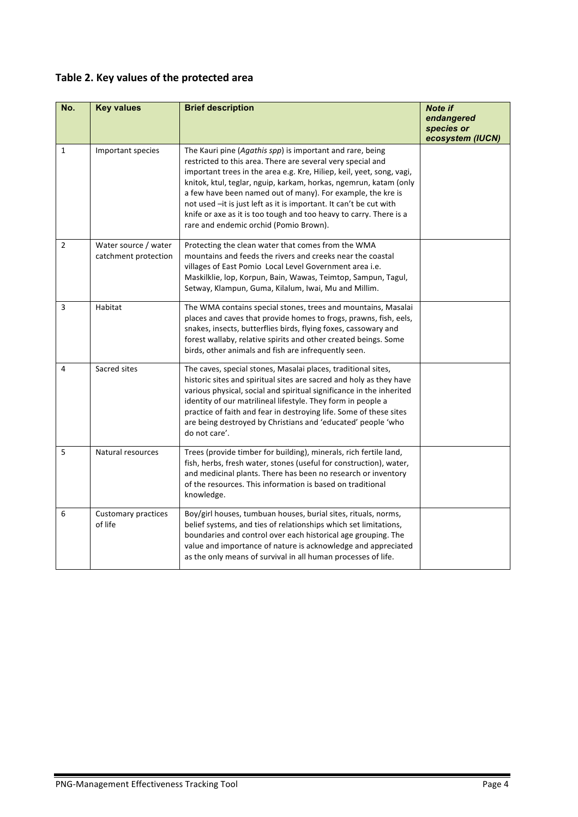# Table 2. Key values of the protected area

| No.            | <b>Key values</b>                            | <b>Brief description</b>                                                                                                                                                                                                                                                                                                                                                                                                                                                                                                    | <b>Note if</b><br>endangered   |
|----------------|----------------------------------------------|-----------------------------------------------------------------------------------------------------------------------------------------------------------------------------------------------------------------------------------------------------------------------------------------------------------------------------------------------------------------------------------------------------------------------------------------------------------------------------------------------------------------------------|--------------------------------|
|                |                                              |                                                                                                                                                                                                                                                                                                                                                                                                                                                                                                                             | species or<br>ecosystem (IUCN) |
| 1              | Important species                            | The Kauri pine (Agathis spp) is important and rare, being<br>restricted to this area. There are several very special and<br>important trees in the area e.g. Kre, Hiliep, keil, yeet, song, vagi,<br>knitok, ktul, teglar, nguip, karkam, horkas, ngemrun, katam (only<br>a few have been named out of many). For example, the kre is<br>not used -it is just left as it is important. It can't be cut with<br>knife or axe as it is too tough and too heavy to carry. There is a<br>rare and endemic orchid (Pomio Brown). |                                |
| $\overline{2}$ | Water source / water<br>catchment protection | Protecting the clean water that comes from the WMA<br>mountains and feeds the rivers and creeks near the coastal<br>villages of East Pomio Local Level Government area i.e.<br>Maskilklie, lop, Korpun, Bain, Wawas, Teimtop, Sampun, Tagul,<br>Setway, Klampun, Guma, Kilalum, Iwai, Mu and Millim.                                                                                                                                                                                                                        |                                |
| 3              | Habitat                                      | The WMA contains special stones, trees and mountains, Masalai<br>places and caves that provide homes to frogs, prawns, fish, eels,<br>snakes, insects, butterflies birds, flying foxes, cassowary and<br>forest wallaby, relative spirits and other created beings. Some<br>birds, other animals and fish are infrequently seen.                                                                                                                                                                                            |                                |
| 4              | Sacred sites                                 | The caves, special stones, Masalai places, traditional sites,<br>historic sites and spiritual sites are sacred and holy as they have<br>various physical, social and spiritual significance in the inherited<br>identity of our matrilineal lifestyle. They form in people a<br>practice of faith and fear in destroying life. Some of these sites<br>are being destroyed by Christians and 'educated' people 'who<br>do not care'.                                                                                         |                                |
| 5              | Natural resources                            | Trees (provide timber for building), minerals, rich fertile land,<br>fish, herbs, fresh water, stones (useful for construction), water,<br>and medicinal plants. There has been no research or inventory<br>of the resources. This information is based on traditional<br>knowledge.                                                                                                                                                                                                                                        |                                |
| 6              | Customary practices<br>of life               | Boy/girl houses, tumbuan houses, burial sites, rituals, norms,<br>belief systems, and ties of relationships which set limitations,<br>boundaries and control over each historical age grouping. The<br>value and importance of nature is acknowledge and appreciated<br>as the only means of survival in all human processes of life.                                                                                                                                                                                       |                                |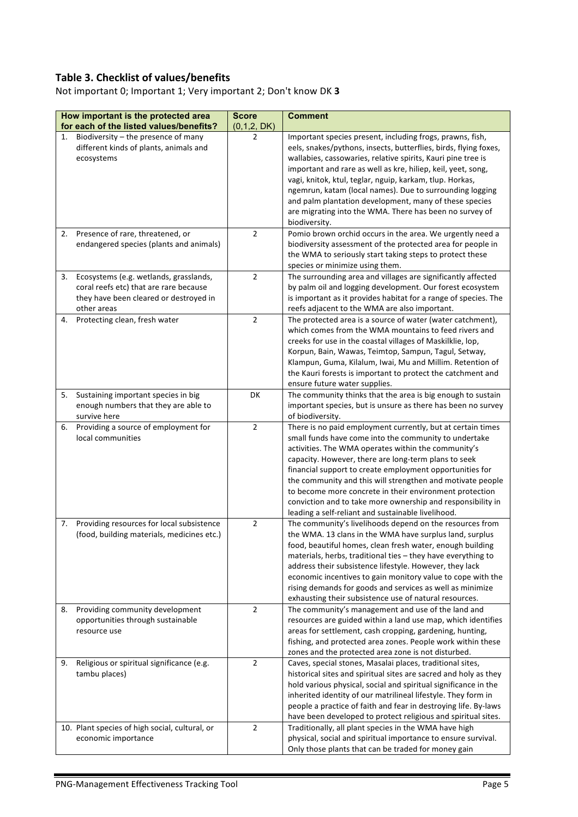## **Table 3. Checklist of values/benefits**

Not important 0; Important 1; Very important 2; Don't know DK 3

| How important is the protected area<br>for each of the listed values/benefits?                                                                  |                                                                                         | <b>Score</b><br>(0,1,2, DK) | <b>Comment</b>                                                                                                                                                                                                                                                                                                                                                                                                                                                                                                                                |
|-------------------------------------------------------------------------------------------------------------------------------------------------|-----------------------------------------------------------------------------------------|-----------------------------|-----------------------------------------------------------------------------------------------------------------------------------------------------------------------------------------------------------------------------------------------------------------------------------------------------------------------------------------------------------------------------------------------------------------------------------------------------------------------------------------------------------------------------------------------|
| Biodiversity - the presence of many<br>1.<br>different kinds of plants, animals and<br>ecosystems                                               |                                                                                         | 2                           | Important species present, including frogs, prawns, fish,<br>eels, snakes/pythons, insects, butterflies, birds, flying foxes,<br>wallabies, cassowaries, relative spirits, Kauri pine tree is<br>important and rare as well as kre, hiliep, keil, yeet, song,<br>vagi, knitok, ktul, teglar, nguip, karkam, tlup. Horkas,<br>ngemrun, katam (local names). Due to surrounding logging<br>and palm plantation development, many of these species<br>are migrating into the WMA. There has been no survey of<br>biodiversity.                   |
| Presence of rare, threatened, or<br>2.                                                                                                          | endangered species (plants and animals)                                                 | 2                           | Pomio brown orchid occurs in the area. We urgently need a<br>biodiversity assessment of the protected area for people in<br>the WMA to seriously start taking steps to protect these<br>species or minimize using them.                                                                                                                                                                                                                                                                                                                       |
| Ecosystems (e.g. wetlands, grasslands,<br>3.<br>coral reefs etc) that are rare because<br>they have been cleared or destroyed in<br>other areas |                                                                                         | $\overline{2}$              | The surrounding area and villages are significantly affected<br>by palm oil and logging development. Our forest ecosystem<br>is important as it provides habitat for a range of species. The<br>reefs adjacent to the WMA are also important.                                                                                                                                                                                                                                                                                                 |
| Protecting clean, fresh water<br>4.                                                                                                             |                                                                                         | $\overline{2}$              | The protected area is a source of water (water catchment),<br>which comes from the WMA mountains to feed rivers and<br>creeks for use in the coastal villages of Maskilklie, lop,<br>Korpun, Bain, Wawas, Teimtop, Sampun, Tagul, Setway,<br>Klampun, Guma, Kilalum, Iwai, Mu and Millim. Retention of<br>the Kauri forests is important to protect the catchment and<br>ensure future water supplies.                                                                                                                                        |
| 5.<br>Sustaining important species in big<br>enough numbers that they are able to<br>survive here                                               |                                                                                         | DK                          | The community thinks that the area is big enough to sustain<br>important species, but is unsure as there has been no survey<br>of biodiversity.                                                                                                                                                                                                                                                                                                                                                                                               |
| Providing a source of employment for<br>6.<br>local communities                                                                                 |                                                                                         | $\overline{2}$              | There is no paid employment currently, but at certain times<br>small funds have come into the community to undertake<br>activities. The WMA operates within the community's<br>capacity. However, there are long-term plans to seek<br>financial support to create employment opportunities for<br>the community and this will strengthen and motivate people<br>to become more concrete in their environment protection<br>conviction and to take more ownership and responsibility in<br>leading a self-reliant and sustainable livelihood. |
| 7.                                                                                                                                              | Providing resources for local subsistence<br>(food, building materials, medicines etc.) | $\overline{2}$              | The community's livelihoods depend on the resources from<br>the WMA. 13 clans in the WMA have surplus land, surplus<br>food, beautiful homes, clean fresh water, enough building<br>materials, herbs, traditional ties - they have everything to<br>address their subsistence lifestyle. However, they lack<br>economic incentives to gain monitory value to cope with the<br>rising demands for goods and services as well as minimize<br>exhausting their subsistence use of natural resources.                                             |
| 8.<br>Providing community development<br>opportunities through sustainable<br>resource use                                                      |                                                                                         | $\overline{2}$              | The community's management and use of the land and<br>resources are guided within a land use map, which identifies<br>areas for settlement, cash cropping, gardening, hunting,<br>fishing, and protected area zones. People work within these<br>zones and the protected area zone is not disturbed.                                                                                                                                                                                                                                          |
| Religious or spiritual significance (e.g.<br>9.<br>tambu places)                                                                                |                                                                                         | $\overline{2}$              | Caves, special stones, Masalai places, traditional sites,<br>historical sites and spiritual sites are sacred and holy as they<br>hold various physical, social and spiritual significance in the<br>inherited identity of our matrilineal lifestyle. They form in<br>people a practice of faith and fear in destroying life. By-laws<br>have been developed to protect religious and spiritual sites.                                                                                                                                         |
| 10. Plant species of high social, cultural, or<br>economic importance                                                                           |                                                                                         | $\overline{2}$              | Traditionally, all plant species in the WMA have high<br>physical, social and spiritual importance to ensure survival.<br>Only those plants that can be traded for money gain                                                                                                                                                                                                                                                                                                                                                                 |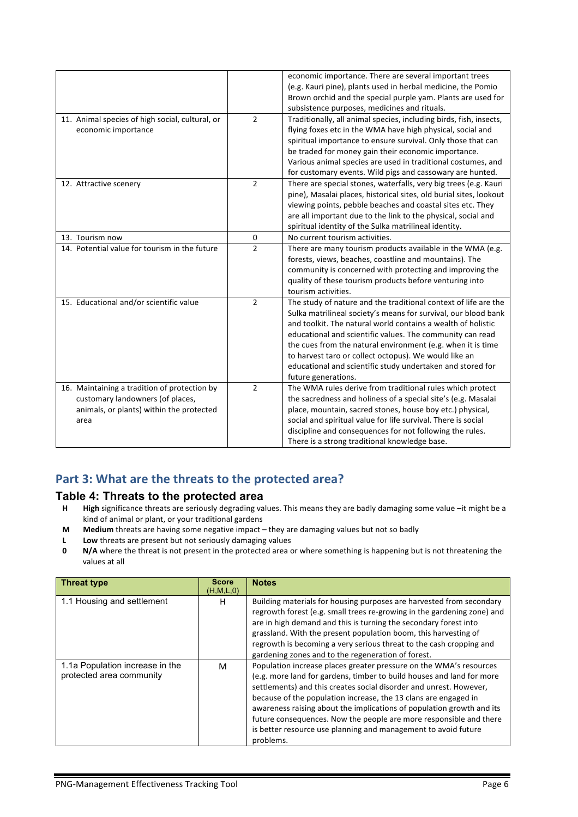|                                                 |                | economic importance. There are several important trees             |
|-------------------------------------------------|----------------|--------------------------------------------------------------------|
|                                                 |                | (e.g. Kauri pine), plants used in herbal medicine, the Pomio       |
|                                                 |                | Brown orchid and the special purple yam. Plants are used for       |
|                                                 |                | subsistence purposes, medicines and rituals.                       |
| 11. Animal species of high social, cultural, or | $\overline{2}$ | Traditionally, all animal species, including birds, fish, insects, |
| economic importance                             |                | flying foxes etc in the WMA have high physical, social and         |
|                                                 |                | spiritual importance to ensure survival. Only those that can       |
|                                                 |                | be traded for money gain their economic importance.                |
|                                                 |                | Various animal species are used in traditional costumes, and       |
|                                                 |                | for customary events. Wild pigs and cassowary are hunted.          |
| 12. Attractive scenery                          | $\overline{2}$ | There are special stones, waterfalls, very big trees (e.g. Kauri   |
|                                                 |                | pine), Masalai places, historical sites, old burial sites, lookout |
|                                                 |                | viewing points, pebble beaches and coastal sites etc. They         |
|                                                 |                | are all important due to the link to the physical, social and      |
|                                                 |                | spiritual identity of the Sulka matrilineal identity.              |
| 13. Tourism now                                 | 0              | No current tourism activities.                                     |
| 14. Potential value for tourism in the future   | $\overline{2}$ | There are many tourism products available in the WMA (e.g.         |
|                                                 |                | forests, views, beaches, coastline and mountains). The             |
|                                                 |                | community is concerned with protecting and improving the           |
|                                                 |                | quality of these tourism products before venturing into            |
|                                                 |                | tourism activities.                                                |
| 15. Educational and/or scientific value         | $\overline{2}$ | The study of nature and the traditional context of life are the    |
|                                                 |                | Sulka matrilineal society's means for survival, our blood bank     |
|                                                 |                | and toolkit. The natural world contains a wealth of holistic       |
|                                                 |                | educational and scientific values. The community can read          |
|                                                 |                | the cues from the natural environment (e.g. when it is time        |
|                                                 |                | to harvest taro or collect octopus). We would like an              |
|                                                 |                | educational and scientific study undertaken and stored for         |
|                                                 |                | future generations.                                                |
| 16. Maintaining a tradition of protection by    | $\overline{2}$ | The WMA rules derive from traditional rules which protect          |
| customary landowners (of places,                |                | the sacredness and holiness of a special site's (e.g. Masalai      |
| animals, or plants) within the protected        |                | place, mountain, sacred stones, house boy etc.) physical,          |
|                                                 |                | social and spiritual value for life survival. There is social      |
| area                                            |                | discipline and consequences for not following the rules.           |
|                                                 |                |                                                                    |
|                                                 |                | There is a strong traditional knowledge base.                      |

## Part 3: What are the threats to the protected area?

### **Table 4: Threats to the protected area**

- **H High** significance threats are seriously degrading values. This means they are badly damaging some value –it might be a kind of animal or plant, or your traditional gardens
- **M** Medium threats are having some negative impact they are damaging values but not so badly
- **L Low** threats are present but not seriously damaging values<br>**0 N/A** where the threat is not present in the protected area of
- **N/A** where the threat is not present in the protected area or where something is happening but is not threatening the values at all

| <b>Threat type</b>                                          | <b>Score</b><br>(H, M, L, 0) | <b>Notes</b>                                                                                                                                                                                                                                                                                                                                                                                                                                                                                                       |
|-------------------------------------------------------------|------------------------------|--------------------------------------------------------------------------------------------------------------------------------------------------------------------------------------------------------------------------------------------------------------------------------------------------------------------------------------------------------------------------------------------------------------------------------------------------------------------------------------------------------------------|
| 1.1 Housing and settlement                                  | н                            | Building materials for housing purposes are harvested from secondary<br>regrowth forest (e.g. small trees re-growing in the gardening zone) and<br>are in high demand and this is turning the secondary forest into<br>grassland. With the present population boom, this harvesting of<br>regrowth is becoming a very serious threat to the cash cropping and<br>gardening zones and to the regeneration of forest.                                                                                                |
| 1.1a Population increase in the<br>protected area community | M                            | Population increase places greater pressure on the WMA's resources<br>(e.g. more land for gardens, timber to build houses and land for more<br>settlements) and this creates social disorder and unrest. However,<br>because of the population increase, the 13 clans are engaged in<br>awareness raising about the implications of population growth and its<br>future consequences. Now the people are more responsible and there<br>is better resource use planning and management to avoid future<br>problems. |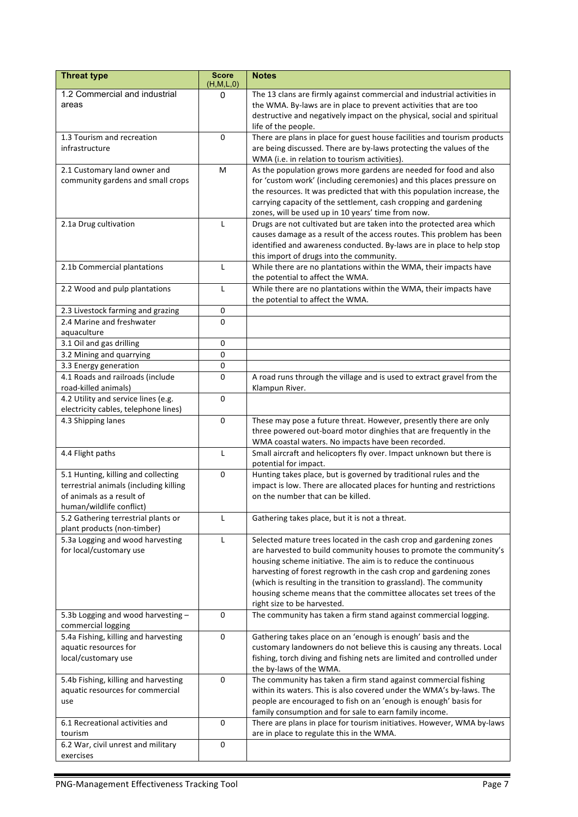| <b>Threat type</b>                                                                                                                     | <b>Score</b><br>(H,M,L,0) | <b>Notes</b>                                                                                                                                                                                                                                                                                                                                                                                                                                                |
|----------------------------------------------------------------------------------------------------------------------------------------|---------------------------|-------------------------------------------------------------------------------------------------------------------------------------------------------------------------------------------------------------------------------------------------------------------------------------------------------------------------------------------------------------------------------------------------------------------------------------------------------------|
| 1.2 Commercial and industrial<br>areas                                                                                                 | 0                         | The 13 clans are firmly against commercial and industrial activities in<br>the WMA. By-laws are in place to prevent activities that are too<br>destructive and negatively impact on the physical, social and spiritual<br>life of the people.                                                                                                                                                                                                               |
| 1.3 Tourism and recreation<br>infrastructure                                                                                           | $\Omega$                  | There are plans in place for guest house facilities and tourism products<br>are being discussed. There are by-laws protecting the values of the<br>WMA (i.e. in relation to tourism activities).                                                                                                                                                                                                                                                            |
| 2.1 Customary land owner and<br>community gardens and small crops                                                                      | M                         | As the population grows more gardens are needed for food and also<br>for 'custom work' (including ceremonies) and this places pressure on<br>the resources. It was predicted that with this population increase, the<br>carrying capacity of the settlement, cash cropping and gardening<br>zones, will be used up in 10 years' time from now.                                                                                                              |
| 2.1a Drug cultivation                                                                                                                  | L                         | Drugs are not cultivated but are taken into the protected area which<br>causes damage as a result of the access routes. This problem has been<br>identified and awareness conducted. By-laws are in place to help stop<br>this import of drugs into the community.                                                                                                                                                                                          |
| 2.1b Commercial plantations                                                                                                            | $\mathsf{L}$              | While there are no plantations within the WMA, their impacts have<br>the potential to affect the WMA.                                                                                                                                                                                                                                                                                                                                                       |
| 2.2 Wood and pulp plantations                                                                                                          | L                         | While there are no plantations within the WMA, their impacts have<br>the potential to affect the WMA.                                                                                                                                                                                                                                                                                                                                                       |
| 2.3 Livestock farming and grazing<br>2.4 Marine and freshwater<br>aquaculture                                                          | 0<br>0                    |                                                                                                                                                                                                                                                                                                                                                                                                                                                             |
| 3.1 Oil and gas drilling                                                                                                               | 0                         |                                                                                                                                                                                                                                                                                                                                                                                                                                                             |
| 3.2 Mining and quarrying                                                                                                               | 0                         |                                                                                                                                                                                                                                                                                                                                                                                                                                                             |
| 3.3 Energy generation                                                                                                                  | 0                         |                                                                                                                                                                                                                                                                                                                                                                                                                                                             |
| 4.1 Roads and railroads (include<br>road-killed animals)                                                                               | 0                         | A road runs through the village and is used to extract gravel from the<br>Klampun River.                                                                                                                                                                                                                                                                                                                                                                    |
| 4.2 Utility and service lines (e.g.<br>electricity cables, telephone lines)                                                            | 0                         |                                                                                                                                                                                                                                                                                                                                                                                                                                                             |
| 4.3 Shipping lanes                                                                                                                     | $\pmb{0}$                 | These may pose a future threat. However, presently there are only<br>three powered out-board motor dinghies that are frequently in the<br>WMA coastal waters. No impacts have been recorded.                                                                                                                                                                                                                                                                |
| 4.4 Flight paths                                                                                                                       | $\mathsf{L}$              | Small aircraft and helicopters fly over. Impact unknown but there is<br>potential for impact.                                                                                                                                                                                                                                                                                                                                                               |
| 5.1 Hunting, killing and collecting<br>terrestrial animals (including killing<br>of animals as a result of<br>human/wildlife conflict) | 0                         | Hunting takes place, but is governed by traditional rules and the<br>impact is low. There are allocated places for hunting and restrictions<br>on the number that can be killed.                                                                                                                                                                                                                                                                            |
| 5.2 Gathering terrestrial plants or<br>plant products (non-timber)                                                                     | L                         | Gathering takes place, but it is not a threat.                                                                                                                                                                                                                                                                                                                                                                                                              |
| 5.3a Logging and wood harvesting<br>for local/customary use                                                                            | L                         | Selected mature trees located in the cash crop and gardening zones<br>are harvested to build community houses to promote the community's<br>housing scheme initiative. The aim is to reduce the continuous<br>harvesting of forest regrowth in the cash crop and gardening zones<br>(which is resulting in the transition to grassland). The community<br>housing scheme means that the committee allocates set trees of the<br>right size to be harvested. |
| 5.3b Logging and wood harvesting -<br>commercial logging                                                                               | 0                         | The community has taken a firm stand against commercial logging.                                                                                                                                                                                                                                                                                                                                                                                            |
| 5.4a Fishing, killing and harvesting<br>aquatic resources for<br>local/customary use                                                   | 0                         | Gathering takes place on an 'enough is enough' basis and the<br>customary landowners do not believe this is causing any threats. Local<br>fishing, torch diving and fishing nets are limited and controlled under<br>the by-laws of the WMA.                                                                                                                                                                                                                |
| 5.4b Fishing, killing and harvesting<br>aquatic resources for commercial<br>use                                                        | 0                         | The community has taken a firm stand against commercial fishing<br>within its waters. This is also covered under the WMA's by-laws. The<br>people are encouraged to fish on an 'enough is enough' basis for<br>family consumption and for sale to earn family income.                                                                                                                                                                                       |
| 6.1 Recreational activities and<br>tourism                                                                                             | 0                         | There are plans in place for tourism initiatives. However, WMA by-laws<br>are in place to regulate this in the WMA.                                                                                                                                                                                                                                                                                                                                         |
| 6.2 War, civil unrest and military<br>exercises                                                                                        | 0                         |                                                                                                                                                                                                                                                                                                                                                                                                                                                             |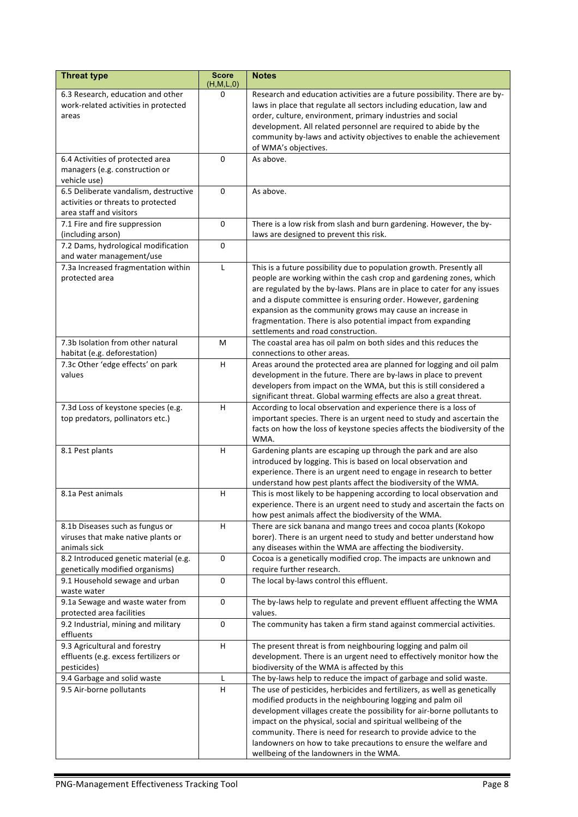| <b>Threat type</b>                                            | <b>Score</b><br>(H,M,L,0) | <b>Notes</b>                                                                                                                             |
|---------------------------------------------------------------|---------------------------|------------------------------------------------------------------------------------------------------------------------------------------|
| 6.3 Research, education and other                             | 0                         | Research and education activities are a future possibility. There are by-                                                                |
| work-related activities in protected                          |                           | laws in place that regulate all sectors including education, law and                                                                     |
| areas                                                         |                           | order, culture, environment, primary industries and social                                                                               |
|                                                               |                           | development. All related personnel are required to abide by the                                                                          |
|                                                               |                           | community by-laws and activity objectives to enable the achievement                                                                      |
|                                                               |                           | of WMA's objectives.                                                                                                                     |
| 6.4 Activities of protected area                              | 0                         | As above.                                                                                                                                |
| managers (e.g. construction or<br>vehicle use)                |                           |                                                                                                                                          |
| 6.5 Deliberate vandalism, destructive                         | 0                         | As above.                                                                                                                                |
| activities or threats to protected                            |                           |                                                                                                                                          |
| area staff and visitors                                       |                           |                                                                                                                                          |
| 7.1 Fire and fire suppression                                 | $\pmb{0}$                 | There is a low risk from slash and burn gardening. However, the by-                                                                      |
| (including arson)                                             |                           | laws are designed to prevent this risk.                                                                                                  |
| 7.2 Dams, hydrological modification                           | 0                         |                                                                                                                                          |
| and water management/use                                      |                           |                                                                                                                                          |
| 7.3a Increased fragmentation within                           | $\mathsf{L}$              | This is a future possibility due to population growth. Presently all                                                                     |
| protected area                                                |                           | people are working within the cash crop and gardening zones, which                                                                       |
|                                                               |                           | are regulated by the by-laws. Plans are in place to cater for any issues                                                                 |
|                                                               |                           | and a dispute committee is ensuring order. However, gardening                                                                            |
|                                                               |                           | expansion as the community grows may cause an increase in                                                                                |
|                                                               |                           | fragmentation. There is also potential impact from expanding                                                                             |
|                                                               |                           | settlements and road construction.                                                                                                       |
| 7.3b Isolation from other natural                             | M                         | The coastal area has oil palm on both sides and this reduces the                                                                         |
| habitat (e.g. deforestation)                                  |                           | connections to other areas.                                                                                                              |
| 7.3c Other 'edge effects' on park                             | н                         | Areas around the protected area are planned for logging and oil palm                                                                     |
| values                                                        |                           | development in the future. There are by-laws in place to prevent                                                                         |
|                                                               |                           | developers from impact on the WMA, but this is still considered a<br>significant threat. Global warming effects are also a great threat. |
| 7.3d Loss of keystone species (e.g.                           | H.                        | According to local observation and experience there is a loss of                                                                         |
| top predators, pollinators etc.)                              |                           | important species. There is an urgent need to study and ascertain the                                                                    |
|                                                               |                           | facts on how the loss of keystone species affects the biodiversity of the                                                                |
|                                                               |                           | WMA.                                                                                                                                     |
| 8.1 Pest plants                                               | Н.                        | Gardening plants are escaping up through the park and are also                                                                           |
|                                                               |                           | introduced by logging. This is based on local observation and                                                                            |
|                                                               |                           | experience. There is an urgent need to engage in research to better                                                                      |
|                                                               |                           | understand how pest plants affect the biodiversity of the WMA.                                                                           |
| 8.1a Pest animals                                             | н                         | This is most likely to be happening according to local observation and                                                                   |
|                                                               |                           | experience. There is an urgent need to study and ascertain the facts on                                                                  |
|                                                               |                           | how pest animals affect the biodiversity of the WMA.                                                                                     |
| 8.1b Diseases such as fungus or                               | H                         | There are sick banana and mango trees and cocoa plants (Kokopo                                                                           |
| viruses that make native plants or                            |                           | borer). There is an urgent need to study and better understand how                                                                       |
| animals sick                                                  |                           | any diseases within the WMA are affecting the biodiversity.                                                                              |
| 8.2 Introduced genetic material (e.g.                         | $\mathbf 0$               | Cocoa is a genetically modified crop. The impacts are unknown and                                                                        |
| genetically modified organisms)                               |                           | require further research.                                                                                                                |
| 9.1 Household sewage and urban                                | $\mathbf 0$               | The local by-laws control this effluent.                                                                                                 |
| waste water                                                   | $\pmb{0}$                 | The by-laws help to regulate and prevent effluent affecting the WMA                                                                      |
| 9.1a Sewage and waste water from<br>protected area facilities |                           | values.                                                                                                                                  |
| 9.2 Industrial, mining and military                           | 0                         | The community has taken a firm stand against commercial activities.                                                                      |
| effluents                                                     |                           |                                                                                                                                          |
| 9.3 Agricultural and forestry                                 | H                         | The present threat is from neighbouring logging and palm oil                                                                             |
| effluents (e.g. excess fertilizers or                         |                           | development. There is an urgent need to effectively monitor how the                                                                      |
| pesticides)                                                   |                           | biodiversity of the WMA is affected by this                                                                                              |
| 9.4 Garbage and solid waste                                   | L                         | The by-laws help to reduce the impact of garbage and solid waste.                                                                        |
| 9.5 Air-borne pollutants                                      | H                         | The use of pesticides, herbicides and fertilizers, as well as genetically                                                                |
|                                                               |                           | modified products in the neighbouring logging and palm oil                                                                               |
|                                                               |                           | development villages create the possibility for air-borne pollutants to                                                                  |
|                                                               |                           | impact on the physical, social and spiritual wellbeing of the                                                                            |
|                                                               |                           | community. There is need for research to provide advice to the                                                                           |
|                                                               |                           | landowners on how to take precautions to ensure the welfare and                                                                          |
|                                                               |                           | wellbeing of the landowners in the WMA.                                                                                                  |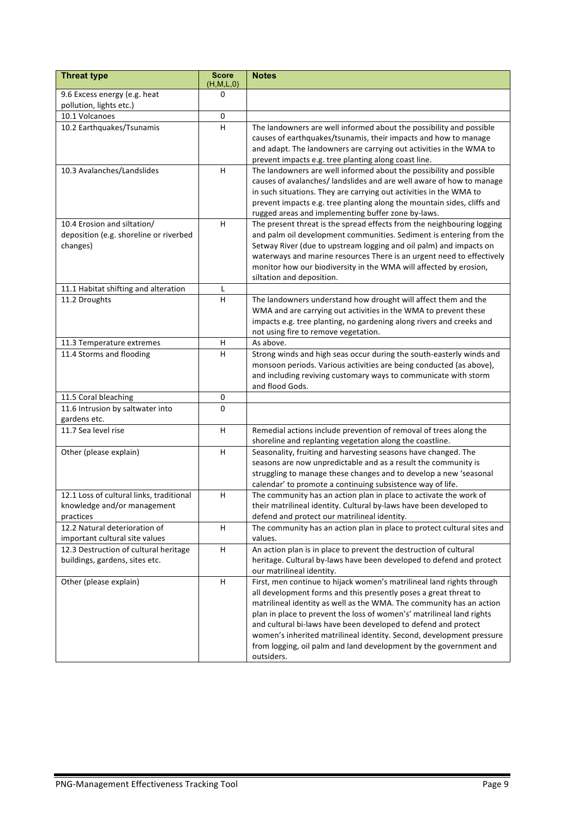| <b>Threat type</b>                       | <b>Score</b><br>(H,M,L,0) | <b>Notes</b>                                                            |
|------------------------------------------|---------------------------|-------------------------------------------------------------------------|
| 9.6 Excess energy (e.g. heat             | 0                         |                                                                         |
| pollution, lights etc.)                  |                           |                                                                         |
| 10.1 Volcanoes                           | 0                         |                                                                         |
| 10.2 Earthquakes/Tsunamis                | н                         | The landowners are well informed about the possibility and possible     |
|                                          |                           | causes of earthquakes/tsunamis, their impacts and how to manage         |
|                                          |                           | and adapt. The landowners are carrying out activities in the WMA to     |
|                                          |                           | prevent impacts e.g. tree planting along coast line.                    |
| 10.3 Avalanches/Landslides               | H.                        | The landowners are well informed about the possibility and possible     |
|                                          |                           | causes of avalanches/ landslides and are well aware of how to manage    |
|                                          |                           | in such situations. They are carrying out activities in the WMA to      |
|                                          |                           | prevent impacts e.g. tree planting along the mountain sides, cliffs and |
|                                          |                           | rugged areas and implementing buffer zone by-laws.                      |
| 10.4 Erosion and siltation/              | н                         | The present threat is the spread effects from the neighbouring logging  |
| deposition (e.g. shoreline or riverbed   |                           | and palm oil development communities. Sediment is entering from the     |
| changes)                                 |                           | Setway River (due to upstream logging and oil palm) and impacts on      |
|                                          |                           | waterways and marine resources There is an urgent need to effectively   |
|                                          |                           | monitor how our biodiversity in the WMA will affected by erosion,       |
|                                          |                           | siltation and deposition.                                               |
| 11.1 Habitat shifting and alteration     | L                         |                                                                         |
| 11.2 Droughts                            | H                         | The landowners understand how drought will affect them and the          |
|                                          |                           | WMA and are carrying out activities in the WMA to prevent these         |
|                                          |                           | impacts e.g. tree planting, no gardening along rivers and creeks and    |
|                                          |                           | not using fire to remove vegetation.                                    |
| 11.3 Temperature extremes                | н                         | As above.                                                               |
| 11.4 Storms and flooding                 | н                         | Strong winds and high seas occur during the south-easterly winds and    |
|                                          |                           | monsoon periods. Various activities are being conducted (as above),     |
|                                          |                           | and including reviving customary ways to communicate with storm         |
|                                          |                           | and flood Gods.                                                         |
| 11.5 Coral bleaching                     | 0                         |                                                                         |
| 11.6 Intrusion by saltwater into         | $\Omega$                  |                                                                         |
| gardens etc.<br>11.7 Sea level rise      | н                         | Remedial actions include prevention of removal of trees along the       |
|                                          |                           | shoreline and replanting vegetation along the coastline.                |
| Other (please explain)                   | H                         | Seasonality, fruiting and harvesting seasons have changed. The          |
|                                          |                           | seasons are now unpredictable and as a result the community is          |
|                                          |                           | struggling to manage these changes and to develop a new 'seasonal       |
|                                          |                           | calendar' to promote a continuing subsistence way of life.              |
| 12.1 Loss of cultural links, traditional | H                         | The community has an action plan in place to activate the work of       |
| knowledge and/or management              |                           | their matrilineal identity. Cultural by-laws have been developed to     |
| practices                                |                           | defend and protect our matrilineal identity.                            |
| 12.2 Natural deterioration of            | H                         | The community has an action plan in place to protect cultural sites and |
| important cultural site values           |                           | values.                                                                 |
| 12.3 Destruction of cultural heritage    | н                         | An action plan is in place to prevent the destruction of cultural       |
| buildings, gardens, sites etc.           |                           | heritage. Cultural by-laws have been developed to defend and protect    |
|                                          |                           | our matrilineal identity.                                               |
| Other (please explain)                   | H                         | First, men continue to hijack women's matrilineal land rights through   |
|                                          |                           | all development forms and this presently poses a great threat to        |
|                                          |                           | matrilineal identity as well as the WMA. The community has an action    |
|                                          |                           | plan in place to prevent the loss of women's' matrilineal land rights   |
|                                          |                           | and cultural bi-laws have been developed to defend and protect          |
|                                          |                           | women's inherited matrilineal identity. Second, development pressure    |
|                                          |                           | from logging, oil palm and land development by the government and       |
|                                          |                           | outsiders.                                                              |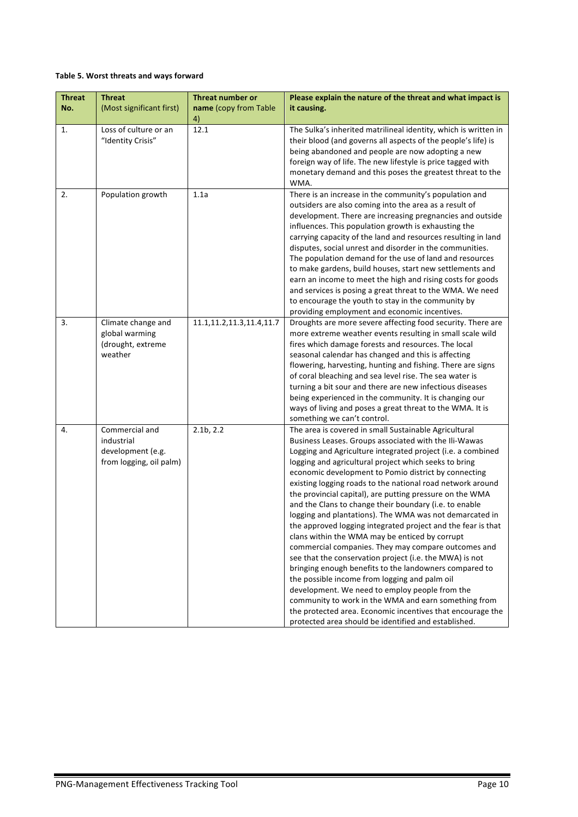#### **Table 5. Worst threats and ways forward**

| <b>Threat</b> | <b>Threat</b>                                                                | <b>Threat number or</b>      | Please explain the nature of the threat and what impact is                                                                                                                                                                                                                                                                                                                                                                                                                                                                                                                                                                                                                                                                                                                                                                                                                                                                                                                                                                                                                                                                   |
|---------------|------------------------------------------------------------------------------|------------------------------|------------------------------------------------------------------------------------------------------------------------------------------------------------------------------------------------------------------------------------------------------------------------------------------------------------------------------------------------------------------------------------------------------------------------------------------------------------------------------------------------------------------------------------------------------------------------------------------------------------------------------------------------------------------------------------------------------------------------------------------------------------------------------------------------------------------------------------------------------------------------------------------------------------------------------------------------------------------------------------------------------------------------------------------------------------------------------------------------------------------------------|
| No.           | (Most significant first)                                                     | name (copy from Table<br>4)  | it causing.                                                                                                                                                                                                                                                                                                                                                                                                                                                                                                                                                                                                                                                                                                                                                                                                                                                                                                                                                                                                                                                                                                                  |
| 1.            | Loss of culture or an<br>"Identity Crisis"                                   | 12.1                         | The Sulka's inherited matrilineal identity, which is written in<br>their blood (and governs all aspects of the people's life) is<br>being abandoned and people are now adopting a new<br>foreign way of life. The new lifestyle is price tagged with<br>monetary demand and this poses the greatest threat to the<br>WMA.                                                                                                                                                                                                                                                                                                                                                                                                                                                                                                                                                                                                                                                                                                                                                                                                    |
| 2.            | Population growth                                                            | 1.1a                         | There is an increase in the community's population and<br>outsiders are also coming into the area as a result of<br>development. There are increasing pregnancies and outside<br>influences. This population growth is exhausting the<br>carrying capacity of the land and resources resulting in land<br>disputes, social unrest and disorder in the communities.<br>The population demand for the use of land and resources<br>to make gardens, build houses, start new settlements and<br>earn an income to meet the high and rising costs for goods<br>and services is posing a great threat to the WMA. We need<br>to encourage the youth to stay in the community by<br>providing employment and economic incentives.                                                                                                                                                                                                                                                                                                                                                                                                  |
| 3.            | Climate change and<br>global warming<br>(drought, extreme<br>weather         | 11.1, 11.2, 11.3, 11.4, 11.7 | Droughts are more severe affecting food security. There are<br>more extreme weather events resulting in small scale wild<br>fires which damage forests and resources. The local<br>seasonal calendar has changed and this is affecting<br>flowering, harvesting, hunting and fishing. There are signs<br>of coral bleaching and sea level rise. The sea water is<br>turning a bit sour and there are new infectious diseases<br>being experienced in the community. It is changing our<br>ways of living and poses a great threat to the WMA. It is<br>something we can't control.                                                                                                                                                                                                                                                                                                                                                                                                                                                                                                                                           |
| 4.            | Commercial and<br>industrial<br>development (e.g.<br>from logging, oil palm) | 2.1 <sub>b</sub> , 2.2       | The area is covered in small Sustainable Agricultural<br>Business Leases. Groups associated with the Ili-Wawas<br>Logging and Agriculture integrated project (i.e. a combined<br>logging and agricultural project which seeks to bring<br>economic development to Pomio district by connecting<br>existing logging roads to the national road network around<br>the provincial capital), are putting pressure on the WMA<br>and the Clans to change their boundary (i.e. to enable<br>logging and plantations). The WMA was not demarcated in<br>the approved logging integrated project and the fear is that<br>clans within the WMA may be enticed by corrupt<br>commercial companies. They may compare outcomes and<br>see that the conservation project (i.e. the MWA) is not<br>bringing enough benefits to the landowners compared to<br>the possible income from logging and palm oil<br>development. We need to employ people from the<br>community to work in the WMA and earn something from<br>the protected area. Economic incentives that encourage the<br>protected area should be identified and established. |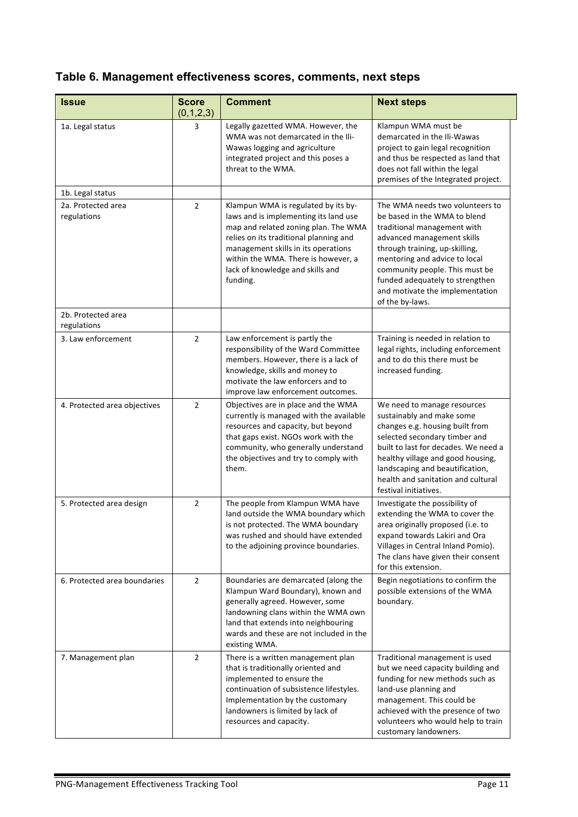# **Table 6. Management effectiveness scores, comments, next steps**

| <b>Issue</b>                      | <b>Score</b><br>(0,1,2,3) | <b>Comment</b>                                                                                                                                                                                                                                                                               | <b>Next steps</b>                                                                                                                                                                                                                                                                                                          |
|-----------------------------------|---------------------------|----------------------------------------------------------------------------------------------------------------------------------------------------------------------------------------------------------------------------------------------------------------------------------------------|----------------------------------------------------------------------------------------------------------------------------------------------------------------------------------------------------------------------------------------------------------------------------------------------------------------------------|
| 1a. Legal status                  | 3                         | Legally gazetted WMA. However, the<br>WMA was not demarcated in the Ili-<br>Wawas logging and agriculture<br>integrated project and this poses a<br>threat to the WMA.                                                                                                                       | Klampun WMA must be<br>demarcated in the Ili-Wawas<br>project to gain legal recognition<br>and thus be respected as land that<br>does not fall within the legal<br>premises of the Integrated project.                                                                                                                     |
| 1b. Legal status                  |                           |                                                                                                                                                                                                                                                                                              |                                                                                                                                                                                                                                                                                                                            |
| 2a. Protected area<br>regulations | $\overline{2}$            | Klampun WMA is regulated by its by-<br>laws and is implementing its land use<br>map and related zoning plan. The WMA<br>relies on its traditional planning and<br>management skills in its operations<br>within the WMA. There is however, a<br>lack of knowledge and skills and<br>funding. | The WMA needs two volunteers to<br>be based in the WMA to blend<br>traditional management with<br>advanced management skills<br>through training, up-skilling,<br>mentoring and advice to local<br>community people. This must be<br>funded adequately to strengthen<br>and motivate the implementation<br>of the by-laws. |
| 2b. Protected area<br>regulations |                           |                                                                                                                                                                                                                                                                                              |                                                                                                                                                                                                                                                                                                                            |
| 3. Law enforcement                | $2^{\circ}$               | Law enforcement is partly the<br>responsibility of the Ward Committee<br>members. However, there is a lack of<br>knowledge, skills and money to<br>motivate the law enforcers and to<br>improve law enforcement outcomes.                                                                    | Training is needed in relation to<br>legal rights, including enforcement<br>and to do this there must be<br>increased funding.                                                                                                                                                                                             |
| 4. Protected area objectives      | $\overline{2}$            | Objectives are in place and the WMA<br>currently is managed with the available<br>resources and capacity, but beyond<br>that gaps exist. NGOs work with the<br>community, who generally understand<br>the objectives and try to comply with<br>them.                                         | We need to manage resources<br>sustainably and make some<br>changes e.g. housing built from<br>selected secondary timber and<br>built to last for decades. We need a<br>healthy village and good housing,<br>landscaping and beautification,<br>health and sanitation and cultural<br>festival initiatives.                |
| 5. Protected area design          | $\overline{2}$            | The people from Klampun WMA have<br>land outside the WMA boundary which<br>is not protected. The WMA boundary<br>was rushed and should have extended<br>to the adjoining province boundaries.                                                                                                | Investigate the possibility of<br>extending the WMA to cover the<br>area originally proposed (i.e. to<br>expand towards Lakiri and Ora<br>Villages in Central Inland Pomio).<br>The clans have given their consent<br>for this extension.                                                                                  |
| 6. Protected area boundaries      | 2                         | Boundaries are demarcated (along the<br>Klampun Ward Boundary), known and<br>generally agreed. However, some<br>landowning clans within the WMA own<br>land that extends into neighbouring<br>wards and these are not included in the<br>existing WMA.                                       | Begin negotiations to confirm the<br>possible extensions of the WMA<br>boundary.                                                                                                                                                                                                                                           |
| 7. Management plan                | $\overline{2}$            | There is a written management plan<br>that is traditionally oriented and<br>implemented to ensure the<br>continuation of subsistence lifestyles.<br>Implementation by the customary<br>landowners is limited by lack of<br>resources and capacity.                                           | Traditional management is used<br>but we need capacity building and<br>funding for new methods such as<br>land-use planning and<br>management. This could be<br>achieved with the presence of two<br>volunteers who would help to train<br>customary landowners.                                                           |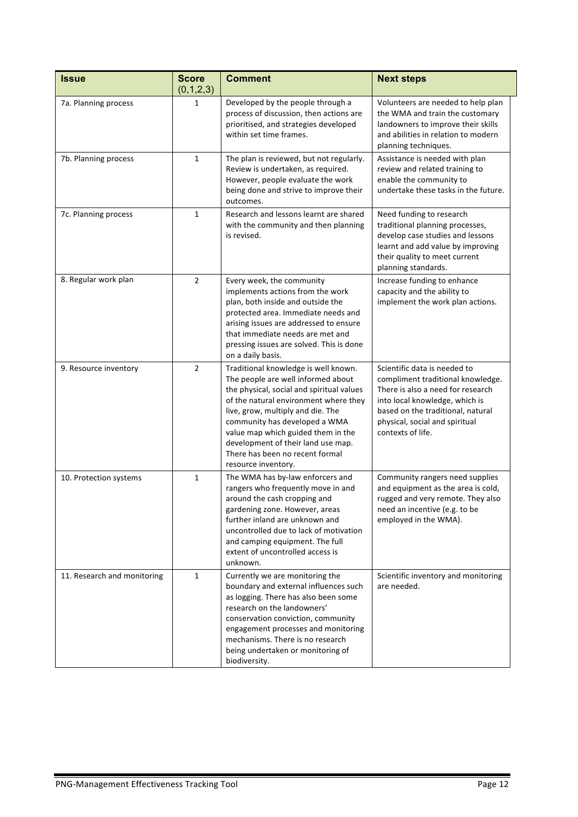| <b>Issue</b>                | <b>Score</b><br>(0,1,2,3) | <b>Comment</b>                                                                                                                                                                                                                                                                                                                                                               | <b>Next steps</b>                                                                                                                                                                                                                    |  |
|-----------------------------|---------------------------|------------------------------------------------------------------------------------------------------------------------------------------------------------------------------------------------------------------------------------------------------------------------------------------------------------------------------------------------------------------------------|--------------------------------------------------------------------------------------------------------------------------------------------------------------------------------------------------------------------------------------|--|
| 7a. Planning process        | $\mathbf{1}$              | Developed by the people through a<br>process of discussion, then actions are<br>prioritised, and strategies developed<br>within set time frames.                                                                                                                                                                                                                             | Volunteers are needed to help plan<br>the WMA and train the customary<br>landowners to improve their skills<br>and abilities in relation to modern<br>planning techniques.                                                           |  |
| 7b. Planning process        | $\mathbf{1}$              | The plan is reviewed, but not regularly.<br>Review is undertaken, as required.<br>However, people evaluate the work<br>being done and strive to improve their<br>outcomes.                                                                                                                                                                                                   | Assistance is needed with plan<br>review and related training to<br>enable the community to<br>undertake these tasks in the future.                                                                                                  |  |
| 7c. Planning process        | $\mathbf{1}$              | Research and lessons learnt are shared<br>with the community and then planning<br>is revised.                                                                                                                                                                                                                                                                                | Need funding to research<br>traditional planning processes,<br>develop case studies and lessons<br>learnt and add value by improving<br>their quality to meet current<br>planning standards.                                         |  |
| 8. Regular work plan        | $\overline{2}$            | Every week, the community<br>implements actions from the work<br>plan, both inside and outside the<br>protected area. Immediate needs and<br>arising issues are addressed to ensure<br>that immediate needs are met and<br>pressing issues are solved. This is done<br>on a daily basis.                                                                                     | Increase funding to enhance<br>capacity and the ability to<br>implement the work plan actions.                                                                                                                                       |  |
| 9. Resource inventory       | $\overline{2}$            | Traditional knowledge is well known.<br>The people are well informed about<br>the physical, social and spiritual values<br>of the natural environment where they<br>live, grow, multiply and die. The<br>community has developed a WMA<br>value map which guided them in the<br>development of their land use map.<br>There has been no recent formal<br>resource inventory. | Scientific data is needed to<br>compliment traditional knowledge.<br>There is also a need for research<br>into local knowledge, which is<br>based on the traditional, natural<br>physical, social and spiritual<br>contexts of life. |  |
| 10. Protection systems      | $\mathbf{1}$              | The WMA has by-law enforcers and<br>rangers who frequently move in and<br>around the cash cropping and<br>gardening zone. However, areas<br>further inland are unknown and<br>uncontrolled due to lack of motivation<br>and camping equipment. The full<br>extent of uncontrolled access is<br>unknown.                                                                      | Community rangers need supplies<br>and equipment as the area is cold,<br>rugged and very remote. They also<br>need an incentive (e.g. to be<br>employed in the WMA).                                                                 |  |
| 11. Research and monitoring | $\mathbf{1}$              | Currently we are monitoring the<br>boundary and external influences such<br>as logging. There has also been some<br>research on the landowners'<br>conservation conviction, community<br>engagement processes and monitoring<br>mechanisms. There is no research<br>being undertaken or monitoring of<br>biodiversity.                                                       | Scientific inventory and monitoring<br>are needed.                                                                                                                                                                                   |  |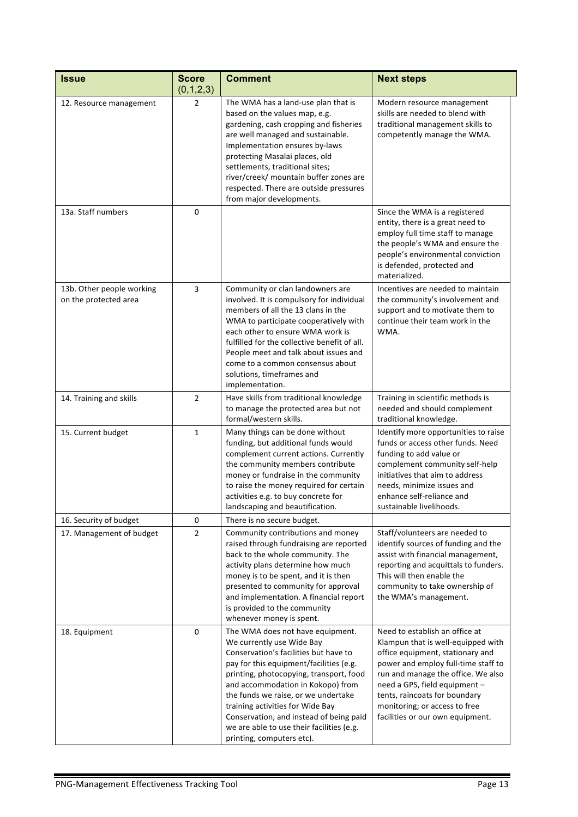| Issue                                              | <b>Score</b><br>(0,1,2,3) | <b>Comment</b>                                                                                                                                                                                                                                                                                                                                                                                                                                                                                                                                                                                                                                                                                                                                                    | <b>Next steps</b>                                                                                                                                                                                                                                                |  |
|----------------------------------------------------|---------------------------|-------------------------------------------------------------------------------------------------------------------------------------------------------------------------------------------------------------------------------------------------------------------------------------------------------------------------------------------------------------------------------------------------------------------------------------------------------------------------------------------------------------------------------------------------------------------------------------------------------------------------------------------------------------------------------------------------------------------------------------------------------------------|------------------------------------------------------------------------------------------------------------------------------------------------------------------------------------------------------------------------------------------------------------------|--|
| 12. Resource management                            | $\overline{2}$            | The WMA has a land-use plan that is<br>based on the values map, e.g.<br>gardening, cash cropping and fisheries<br>are well managed and sustainable.<br>Implementation ensures by-laws<br>protecting Masalai places, old<br>settlements, traditional sites;<br>river/creek/ mountain buffer zones are<br>respected. There are outside pressures<br>from major developments.                                                                                                                                                                                                                                                                                                                                                                                        | Modern resource management<br>skills are needed to blend with<br>traditional management skills to<br>competently manage the WMA.                                                                                                                                 |  |
| 13a. Staff numbers                                 | 0                         |                                                                                                                                                                                                                                                                                                                                                                                                                                                                                                                                                                                                                                                                                                                                                                   | Since the WMA is a registered<br>entity, there is a great need to<br>employ full time staff to manage<br>the people's WMA and ensure the<br>people's environmental conviction<br>is defended, protected and<br>materialized.                                     |  |
| 13b. Other people working<br>on the protected area | 3                         | Community or clan landowners are<br>involved. It is compulsory for individual<br>members of all the 13 clans in the<br>WMA to participate cooperatively with<br>each other to ensure WMA work is<br>fulfilled for the collective benefit of all.<br>People meet and talk about issues and<br>come to a common consensus about<br>solutions, timeframes and<br>implementation.                                                                                                                                                                                                                                                                                                                                                                                     | Incentives are needed to maintain<br>the community's involvement and<br>support and to motivate them to<br>continue their team work in the<br>WMA.                                                                                                               |  |
| 14. Training and skills                            | $\overline{2}$            | Have skills from traditional knowledge<br>to manage the protected area but not<br>formal/western skills.                                                                                                                                                                                                                                                                                                                                                                                                                                                                                                                                                                                                                                                          | Training in scientific methods is<br>needed and should complement<br>traditional knowledge.                                                                                                                                                                      |  |
| 15. Current budget                                 | $\mathbf{1}$              | Many things can be done without<br>funding, but additional funds would<br>complement current actions. Currently<br>the community members contribute<br>money or fundraise in the community<br>to raise the money required for certain<br>activities e.g. to buy concrete for<br>landscaping and beautification.                                                                                                                                                                                                                                                                                                                                                                                                                                                   | Identify more opportunities to raise<br>funds or access other funds. Need<br>funding to add value or<br>complement community self-help<br>initiatives that aim to address<br>needs, minimize issues and<br>enhance self-reliance and<br>sustainable livelihoods. |  |
| 16. Security of budget                             | 0                         | There is no secure budget.                                                                                                                                                                                                                                                                                                                                                                                                                                                                                                                                                                                                                                                                                                                                        |                                                                                                                                                                                                                                                                  |  |
| 17. Management of budget                           | $\overline{2}$            | Community contributions and money<br>raised through fundraising are reported<br>back to the whole community. The<br>activity plans determine how much<br>money is to be spent, and it is then<br>presented to community for approval<br>and implementation. A financial report<br>is provided to the community<br>whenever money is spent.                                                                                                                                                                                                                                                                                                                                                                                                                        | Staff/volunteers are needed to<br>identify sources of funding and the<br>assist with financial management,<br>reporting and acquittals to funders.<br>This will then enable the<br>community to take ownership of<br>the WMA's management.                       |  |
| 18. Equipment                                      | $\mathbf 0$               | The WMA does not have equipment.<br>Need to establish an office at<br>We currently use Wide Bay<br>Klampun that is well-equipped with<br>Conservation's facilities but have to<br>office equipment, stationary and<br>pay for this equipment/facilities (e.g.<br>power and employ full-time staff to<br>printing, photocopying, transport, food<br>run and manage the office. We also<br>and accommodation in Kokopo) from<br>need a GPS, field equipment -<br>the funds we raise, or we undertake<br>tents, raincoats for boundary<br>monitoring; or access to free<br>training activities for Wide Bay<br>Conservation, and instead of being paid<br>facilities or our own equipment.<br>we are able to use their facilities (e.g.<br>printing, computers etc). |                                                                                                                                                                                                                                                                  |  |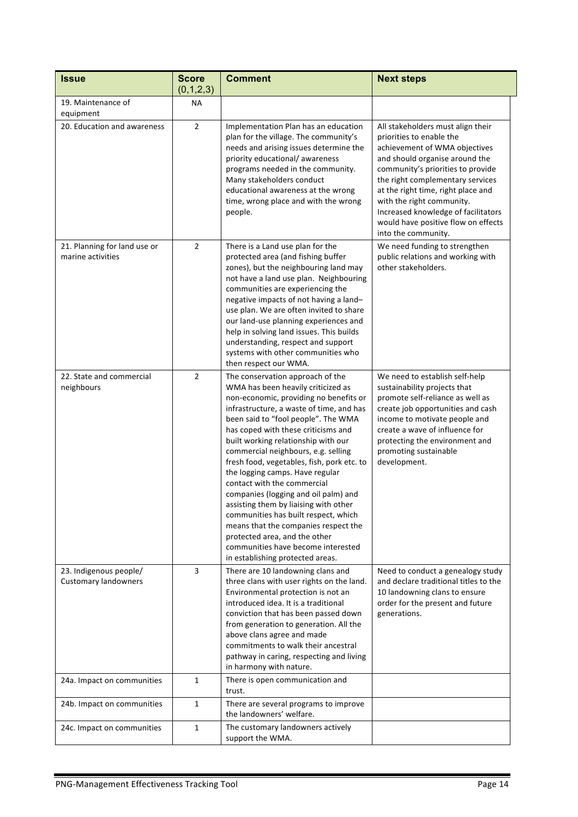| <b>Issue</b>                                          | <b>Score</b><br>(0,1,2,3) | <b>Comment</b>                                                                                                                                                                                                                                                                                                                                                                                                                                                                                                                                                                                                                                                                                                       | <b>Next steps</b>                                                                                                                                                                                                                                                                                                                                                                 |  |
|-------------------------------------------------------|---------------------------|----------------------------------------------------------------------------------------------------------------------------------------------------------------------------------------------------------------------------------------------------------------------------------------------------------------------------------------------------------------------------------------------------------------------------------------------------------------------------------------------------------------------------------------------------------------------------------------------------------------------------------------------------------------------------------------------------------------------|-----------------------------------------------------------------------------------------------------------------------------------------------------------------------------------------------------------------------------------------------------------------------------------------------------------------------------------------------------------------------------------|--|
| 19. Maintenance of<br>equipment                       | <b>NA</b>                 |                                                                                                                                                                                                                                                                                                                                                                                                                                                                                                                                                                                                                                                                                                                      |                                                                                                                                                                                                                                                                                                                                                                                   |  |
| 20. Education and awareness                           | $\overline{2}$            | Implementation Plan has an education<br>plan for the village. The community's<br>needs and arising issues determine the<br>priority educational/awareness<br>programs needed in the community.<br>Many stakeholders conduct<br>educational awareness at the wrong<br>time, wrong place and with the wrong<br>people.                                                                                                                                                                                                                                                                                                                                                                                                 | All stakeholders must align their<br>priorities to enable the<br>achievement of WMA objectives<br>and should organise around the<br>community's priorities to provide<br>the right complementary services<br>at the right time, right place and<br>with the right community.<br>Increased knowledge of facilitators<br>would have positive flow on effects<br>into the community. |  |
| 21. Planning for land use or<br>marine activities     | $\overline{2}$            | There is a Land use plan for the<br>protected area (and fishing buffer<br>zones), but the neighbouring land may<br>not have a land use plan. Neighbouring<br>communities are experiencing the<br>negative impacts of not having a land-<br>use plan. We are often invited to share<br>our land-use planning experiences and<br>help in solving land issues. This builds<br>understanding, respect and support<br>systems with other communities who<br>then respect our WMA.                                                                                                                                                                                                                                         | We need funding to strengthen<br>public relations and working with<br>other stakeholders.                                                                                                                                                                                                                                                                                         |  |
| 22. State and commercial<br>neighbours                | $\overline{2}$            | The conservation approach of the<br>WMA has been heavily criticized as<br>non-economic, providing no benefits or<br>infrastructure, a waste of time, and has<br>been said to "fool people". The WMA<br>has coped with these criticisms and<br>built working relationship with our<br>commercial neighbours, e.g. selling<br>fresh food, vegetables, fish, pork etc. to<br>the logging camps. Have regular<br>contact with the commercial<br>companies (logging and oil palm) and<br>assisting them by liaising with other<br>communities has built respect, which<br>means that the companies respect the<br>protected area, and the other<br>communities have become interested<br>in establishing protected areas. | We need to establish self-help<br>sustainability projects that<br>promote self-reliance as well as<br>create job opportunities and cash<br>income to motivate people and<br>create a wave of influence for<br>protecting the environment and<br>promoting sustainable<br>development.                                                                                             |  |
| 23. Indigenous people/<br><b>Customary landowners</b> | 3                         | There are 10 landowning clans and<br>three clans with user rights on the land.<br>Environmental protection is not an<br>introduced idea. It is a traditional<br>conviction that has been passed down<br>from generation to generation. All the<br>above clans agree and made<br>commitments to walk their ancestral<br>pathway in caring, respecting and living<br>in harmony with nature.                                                                                                                                                                                                                                                                                                                           | Need to conduct a genealogy study<br>and declare traditional titles to the<br>10 landowning clans to ensure<br>order for the present and future<br>generations.                                                                                                                                                                                                                   |  |
| 24a. Impact on communities                            | $\mathbf{1}$              | There is open communication and<br>trust.                                                                                                                                                                                                                                                                                                                                                                                                                                                                                                                                                                                                                                                                            |                                                                                                                                                                                                                                                                                                                                                                                   |  |
| 24b. Impact on communities                            | $\mathbf{1}$              | There are several programs to improve<br>the landowners' welfare.                                                                                                                                                                                                                                                                                                                                                                                                                                                                                                                                                                                                                                                    |                                                                                                                                                                                                                                                                                                                                                                                   |  |
| 24c. Impact on communities                            | 1                         | The customary landowners actively<br>support the WMA.                                                                                                                                                                                                                                                                                                                                                                                                                                                                                                                                                                                                                                                                |                                                                                                                                                                                                                                                                                                                                                                                   |  |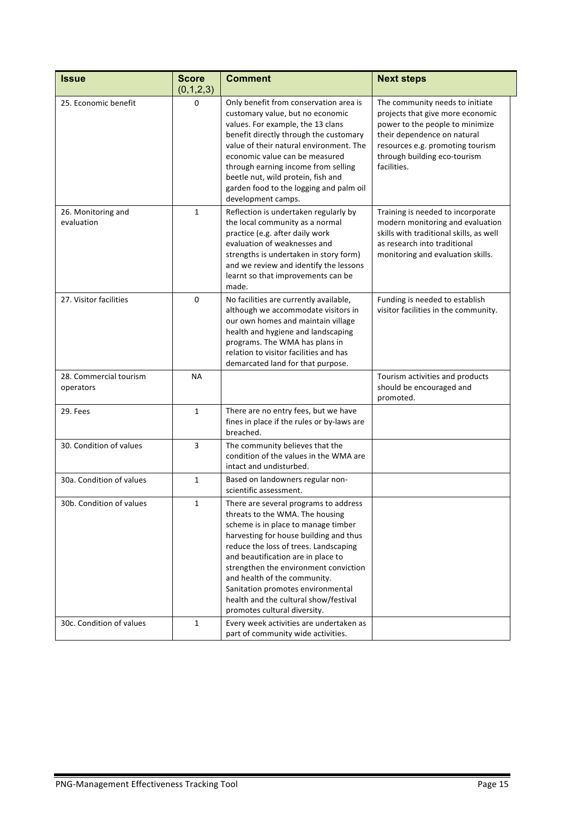| <b>Issue</b>                        | <b>Score</b> | <b>Comment</b>                                                                                                                                                                                                                                                                                                                                                                                                                  | <b>Next steps</b>                                                                                                                                                                                                        |
|-------------------------------------|--------------|---------------------------------------------------------------------------------------------------------------------------------------------------------------------------------------------------------------------------------------------------------------------------------------------------------------------------------------------------------------------------------------------------------------------------------|--------------------------------------------------------------------------------------------------------------------------------------------------------------------------------------------------------------------------|
|                                     | (0,1,2,3)    |                                                                                                                                                                                                                                                                                                                                                                                                                                 |                                                                                                                                                                                                                          |
| 25. Economic benefit                | $\mathbf 0$  | Only benefit from conservation area is<br>customary value, but no economic<br>values. For example, the 13 clans<br>benefit directly through the customary<br>value of their natural environment. The<br>economic value can be measured<br>through earning income from selling<br>beetle nut, wild protein, fish and<br>garden food to the logging and palm oil<br>development camps.                                            | The community needs to initiate<br>projects that give more economic<br>power to the people to minimize<br>their dependence on natural<br>resources e.g. promoting tourism<br>through building eco-tourism<br>facilities. |
| 26. Monitoring and<br>evaluation    | $\mathbf{1}$ | Reflection is undertaken regularly by<br>the local community as a normal<br>practice (e.g. after daily work<br>evaluation of weaknesses and<br>strengths is undertaken in story form)<br>and we review and identify the lessons<br>learnt so that improvements can be<br>made.                                                                                                                                                  | Training is needed to incorporate<br>modern monitoring and evaluation<br>skills with traditional skills, as well<br>as research into traditional<br>monitoring and evaluation skills.                                    |
| 27. Visitor facilities              | 0            | No facilities are currently available,<br>although we accommodate visitors in<br>our own homes and maintain village<br>health and hygiene and landscaping<br>programs. The WMA has plans in<br>relation to visitor facilities and has<br>demarcated land for that purpose.                                                                                                                                                      | Funding is needed to establish<br>visitor facilities in the community.                                                                                                                                                   |
| 28. Commercial tourism<br>operators | <b>NA</b>    |                                                                                                                                                                                                                                                                                                                                                                                                                                 | Tourism activities and products<br>should be encouraged and<br>promoted.                                                                                                                                                 |
| 29. Fees                            | $\mathbf{1}$ | There are no entry fees, but we have<br>fines in place if the rules or by-laws are<br>breached.                                                                                                                                                                                                                                                                                                                                 |                                                                                                                                                                                                                          |
| 30. Condition of values             | 3            | The community believes that the<br>condition of the values in the WMA are<br>intact and undisturbed.                                                                                                                                                                                                                                                                                                                            |                                                                                                                                                                                                                          |
| 30a. Condition of values            | $\mathbf{1}$ | Based on landowners regular non-<br>scientific assessment.                                                                                                                                                                                                                                                                                                                                                                      |                                                                                                                                                                                                                          |
| 30b. Condition of values            | 1            | There are several programs to address<br>threats to the WMA. The housing<br>scheme is in place to manage timber<br>harvesting for house building and thus<br>reduce the loss of trees. Landscaping<br>and beautification are in place to<br>strengthen the environment conviction<br>and health of the community.<br>Sanitation promotes environmental<br>health and the cultural show/festival<br>promotes cultural diversity. |                                                                                                                                                                                                                          |
| 30c. Condition of values            | $\mathbf{1}$ | Every week activities are undertaken as<br>part of community wide activities.                                                                                                                                                                                                                                                                                                                                                   |                                                                                                                                                                                                                          |